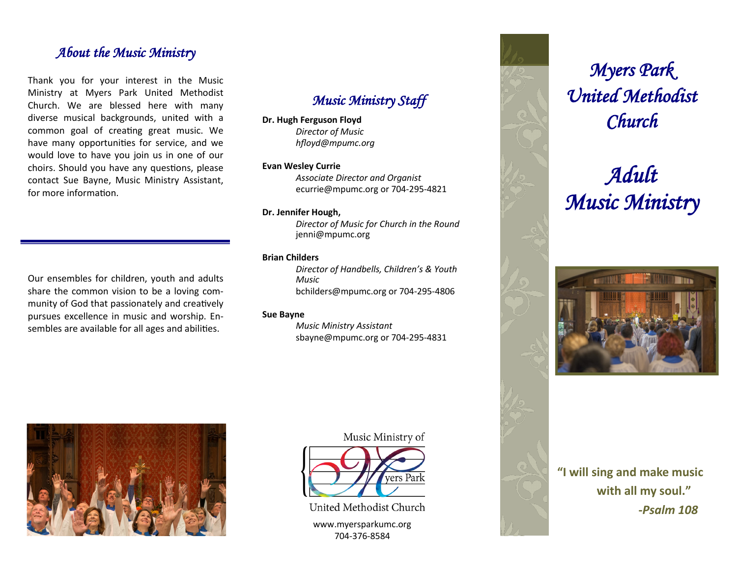### *About the Music Ministry*

Thank you for your interest in the Music Ministry at Myers Park United Methodist Church. We are blessed here with many diverse musical backgrounds, united with a common goal of creating great music. We have many opportunities for service, and we would love to have you join us in one of our choirs. Should you have any questions, please contact Sue Bayne, Music Ministry Assistant, for more information.

[Our ensembles for children,](http://www.myersparkumc.org/worship/music/children-ensemble/) [youth](http://www.myersparkumc.org/worship/music/youth-ensembles/) and [adults](http://www.myersparkumc.org/worship/music/adult-ensembles/)  share the common vision to be a loving community of God that passionately and creatively pursues excellence in music and worship. Ensembles are available for all ages and abilities.

# *Music Ministry Staff*

#### **Dr. Hugh Ferguson Floyd**

*Director of Music hfloyd@mpumc.org*

#### **Evan Wesley Currie**

*Associate Director and Organist* ecurrie@mpumc.org or 704-295-4821

#### **Dr. Jennifer Hough,**

*Director of Music for Church in the Round* jenni@mpumc.org

#### **Brian Childers**

*Director of Handbells, Children's & Youth Music* bchilders@mpumc.org or 704-295-4806

#### **Sue Bayne**

*Music Ministry Assistant* sbayne@mpumc.org or 704-295-4831



Music Ministry of



United Methodist Church

www.myersparkumc.org 704-376-8584



# *Adult Music Ministry*